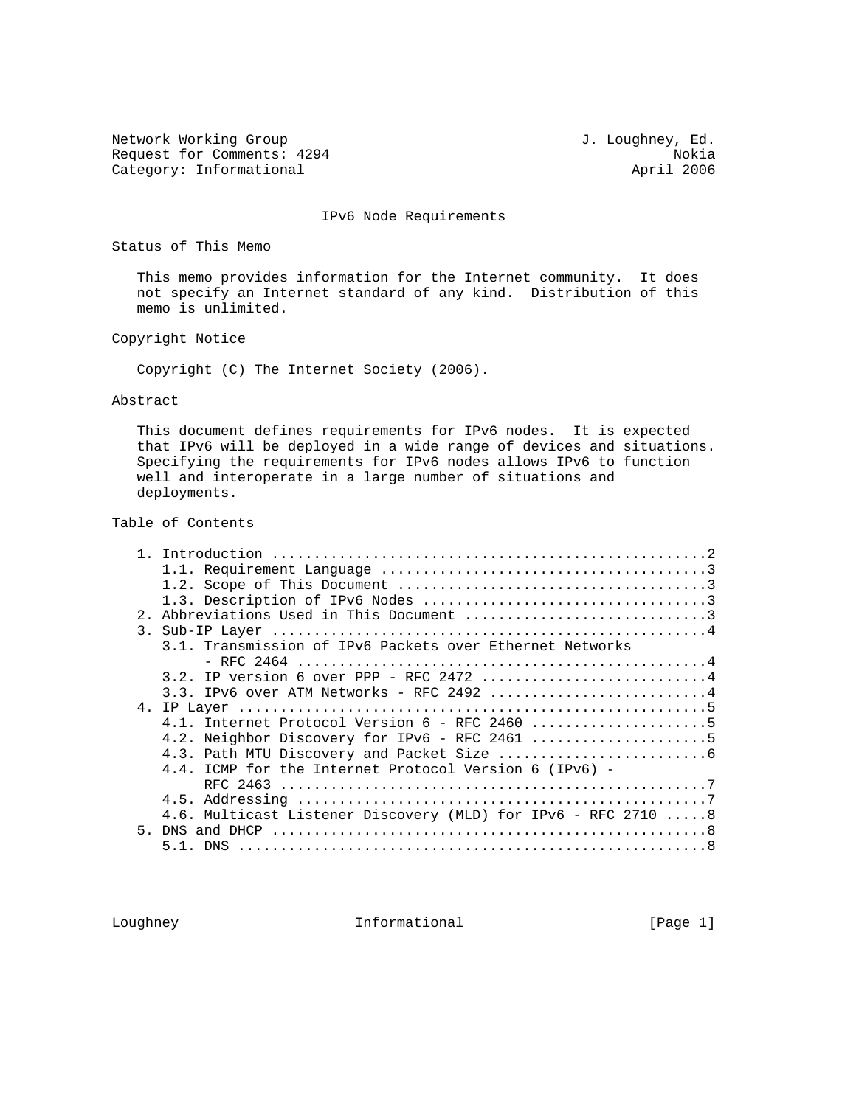Network Working Group and Month of the U.S. Loughney, Ed. Request for Comments: 4294 Nokia<br>
Category: Informational extension of the April 2006 Category: Informational

IPv6 Node Requirements

Status of This Memo

 This memo provides information for the Internet community. It does not specify an Internet standard of any kind. Distribution of this memo is unlimited.

Copyright Notice

Copyright (C) The Internet Society (2006).

Abstract

 This document defines requirements for IPv6 nodes. It is expected that IPv6 will be deployed in a wide range of devices and situations. Specifying the requirements for IPv6 nodes allows IPv6 to function well and interoperate in a large number of situations and deployments.

Table of Contents

| Abbreviations Used in This Document 3<br>2.1                           |  |
|------------------------------------------------------------------------|--|
|                                                                        |  |
| 3.1. Transmission of IPv6 Packets over Ethernet Networks               |  |
|                                                                        |  |
| 3.2. IP version 6 over PPP - RFC 2472 4                                |  |
| $3.3.$ IPv6 over ATM Networks - RFC 2492 4                             |  |
|                                                                        |  |
|                                                                        |  |
|                                                                        |  |
|                                                                        |  |
|                                                                        |  |
| 4.4. ICMP for the Internet Protocol Version 6 (IPv6) -                 |  |
|                                                                        |  |
|                                                                        |  |
| 4.6. Multicast Listener Discovery (MLD) for IPv6 - RFC 2710 $\dots$ .8 |  |
| 5.                                                                     |  |
|                                                                        |  |

Loughney **Informational Informational** [Page 1]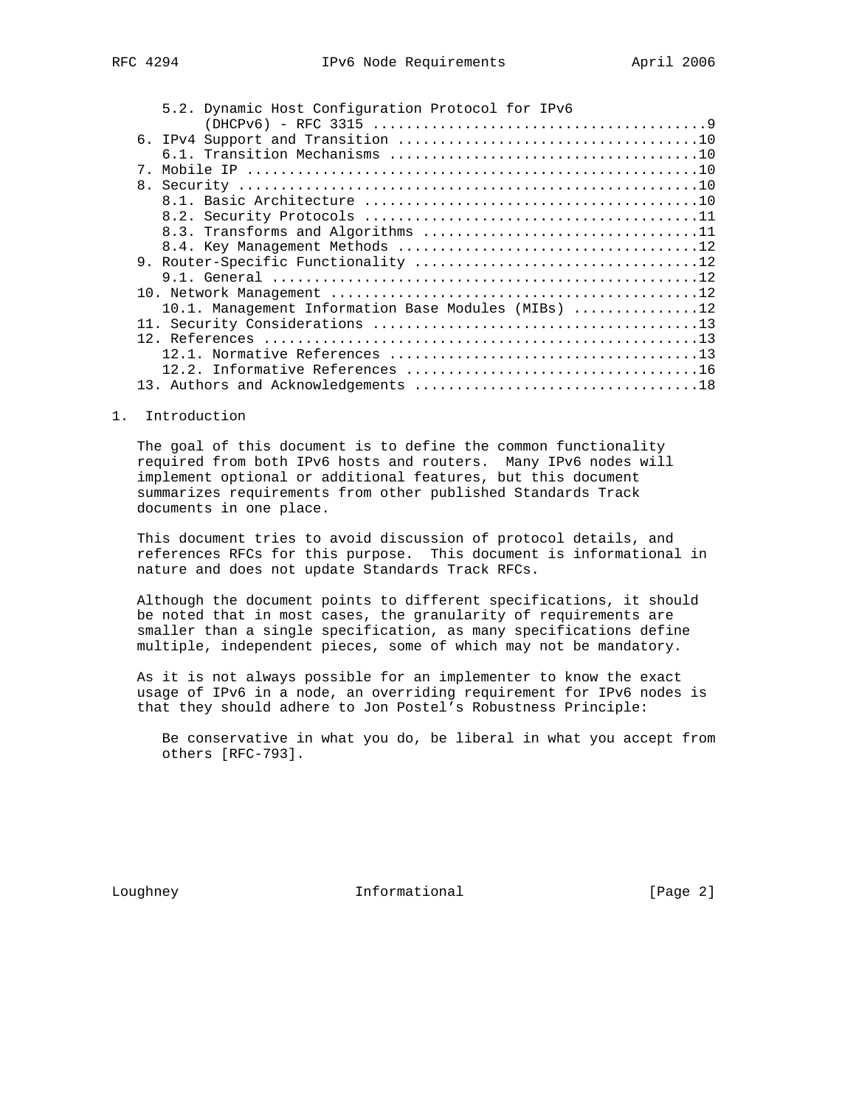| し エムノエ |  |  |  |
|--------|--|--|--|
|        |  |  |  |
|        |  |  |  |
|        |  |  |  |

|             | 5.2. Dynamic Host Configuration Protocol for IPv6   |
|-------------|-----------------------------------------------------|
|             |                                                     |
|             |                                                     |
|             |                                                     |
| $7_{\circ}$ |                                                     |
|             |                                                     |
|             |                                                     |
|             |                                                     |
|             |                                                     |
|             | 8.3. Transforms and Algorithms 11                   |
|             |                                                     |
|             |                                                     |
|             |                                                     |
|             |                                                     |
|             | 10.1. Management Information Base Modules (MIBs) 12 |
|             |                                                     |
|             |                                                     |
|             |                                                     |
|             |                                                     |
|             |                                                     |
|             |                                                     |
|             | 8.                                                  |

# 1. Introduction

 The goal of this document is to define the common functionality required from both IPv6 hosts and routers. Many IPv6 nodes will implement optional or additional features, but this document summarizes requirements from other published Standards Track documents in one place.

 This document tries to avoid discussion of protocol details, and references RFCs for this purpose. This document is informational in nature and does not update Standards Track RFCs.

 Although the document points to different specifications, it should be noted that in most cases, the granularity of requirements are smaller than a single specification, as many specifications define multiple, independent pieces, some of which may not be mandatory.

 As it is not always possible for an implementer to know the exact usage of IPv6 in a node, an overriding requirement for IPv6 nodes is that they should adhere to Jon Postel's Robustness Principle:

 Be conservative in what you do, be liberal in what you accept from others [RFC-793].

Loughney **Informational** [Page 2]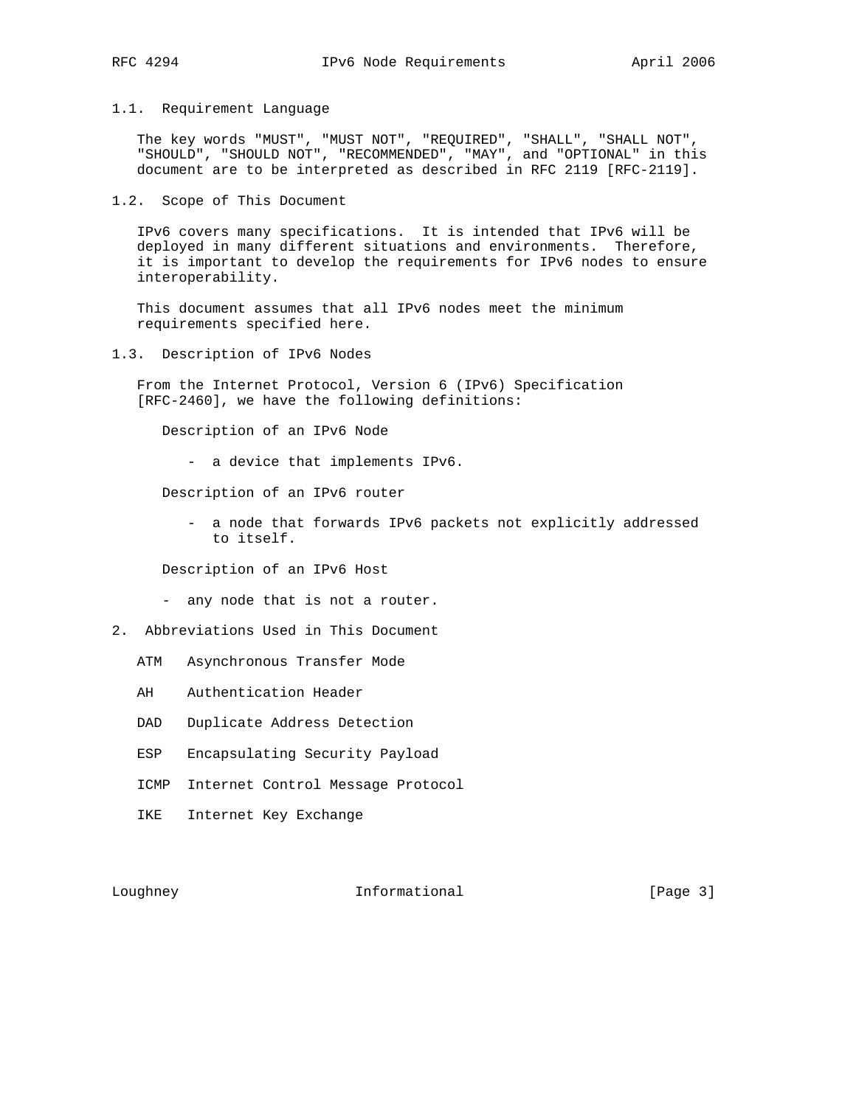## 1.1. Requirement Language

 The key words "MUST", "MUST NOT", "REQUIRED", "SHALL", "SHALL NOT", "SHOULD", "SHOULD NOT", "RECOMMENDED", "MAY", and "OPTIONAL" in this document are to be interpreted as described in RFC 2119 [RFC-2119].

1.2. Scope of This Document

 IPv6 covers many specifications. It is intended that IPv6 will be deployed in many different situations and environments. Therefore, it is important to develop the requirements for IPv6 nodes to ensure interoperability.

 This document assumes that all IPv6 nodes meet the minimum requirements specified here.

1.3. Description of IPv6 Nodes

 From the Internet Protocol, Version 6 (IPv6) Specification [RFC-2460], we have the following definitions:

Description of an IPv6 Node

- a device that implements IPv6.

Description of an IPv6 router

 - a node that forwards IPv6 packets not explicitly addressed to itself.

Description of an IPv6 Host

- any node that is not a router.
- 2. Abbreviations Used in This Document
	- ATM Asynchronous Transfer Mode
	- AH Authentication Header
	- DAD Duplicate Address Detection
	- ESP Encapsulating Security Payload
	- ICMP Internet Control Message Protocol
	- IKE Internet Key Exchange

Loughney 1nformational [Page 3]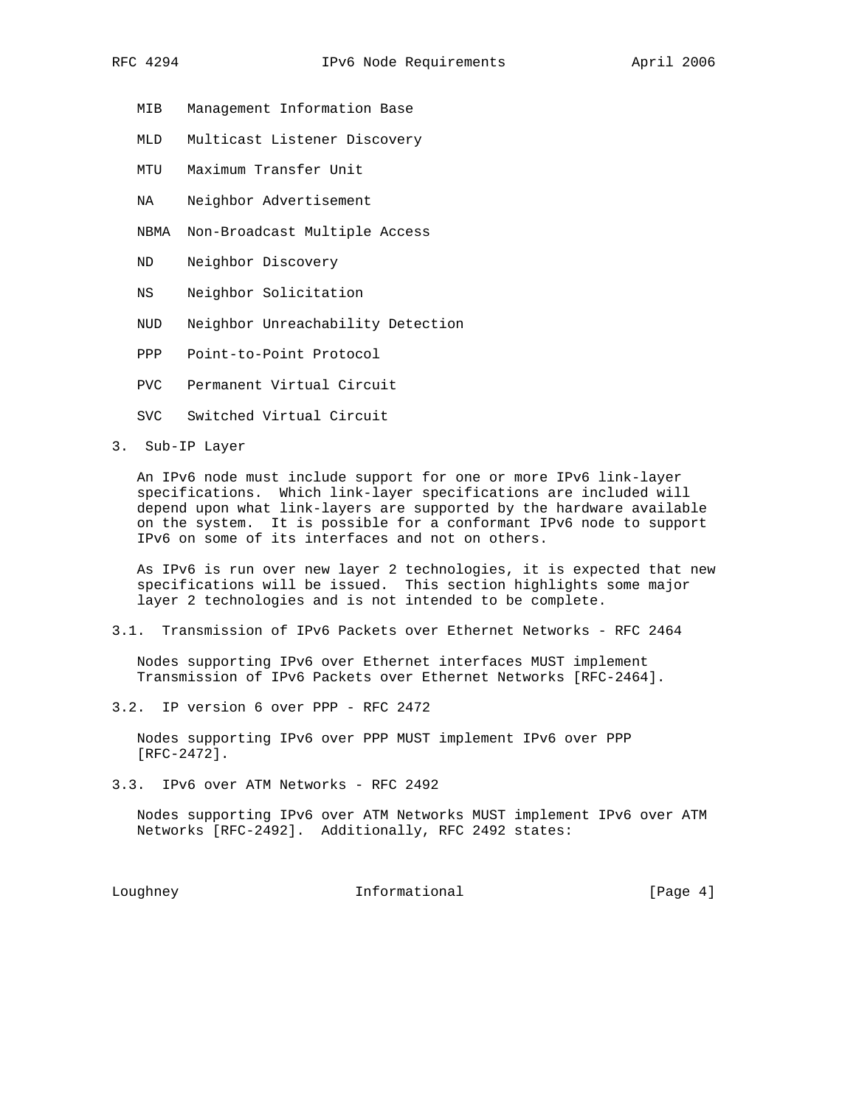- MIB Management Information Base
- MLD Multicast Listener Discovery
- MTU Maximum Transfer Unit
- NA Neighbor Advertisement
- NBMA Non-Broadcast Multiple Access
- ND Neighbor Discovery
- NS Neighbor Solicitation
- NUD Neighbor Unreachability Detection
- PPP Point-to-Point Protocol
- PVC Permanent Virtual Circuit
- SVC Switched Virtual Circuit
- 3. Sub-IP Layer

 An IPv6 node must include support for one or more IPv6 link-layer specifications. Which link-layer specifications are included will depend upon what link-layers are supported by the hardware available on the system. It is possible for a conformant IPv6 node to support IPv6 on some of its interfaces and not on others.

 As IPv6 is run over new layer 2 technologies, it is expected that new specifications will be issued. This section highlights some major layer 2 technologies and is not intended to be complete.

3.1. Transmission of IPv6 Packets over Ethernet Networks - RFC 2464

 Nodes supporting IPv6 over Ethernet interfaces MUST implement Transmission of IPv6 Packets over Ethernet Networks [RFC-2464].

3.2. IP version 6 over PPP - RFC 2472

 Nodes supporting IPv6 over PPP MUST implement IPv6 over PPP [RFC-2472].

3.3. IPv6 over ATM Networks - RFC 2492

 Nodes supporting IPv6 over ATM Networks MUST implement IPv6 over ATM Networks [RFC-2492]. Additionally, RFC 2492 states:

Loughney **Informational** Informational [Page 4]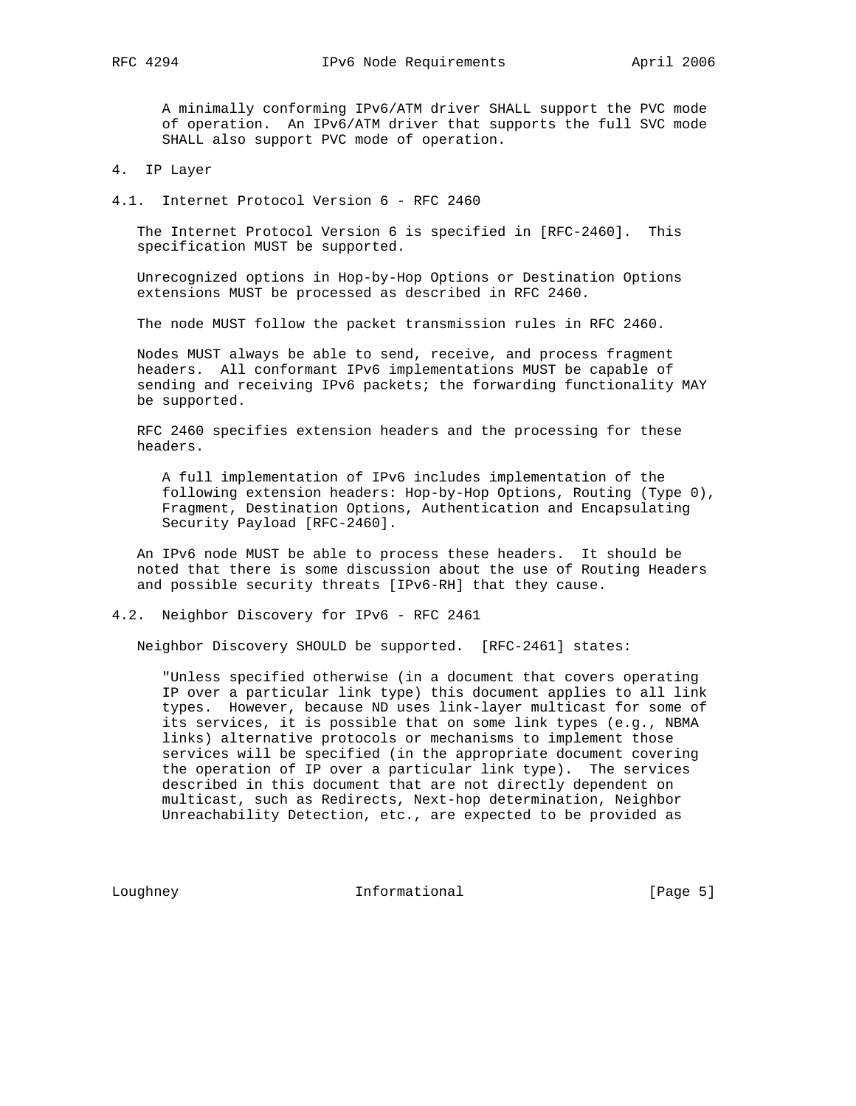A minimally conforming IPv6/ATM driver SHALL support the PVC mode of operation. An IPv6/ATM driver that supports the full SVC mode SHALL also support PVC mode of operation.

4. IP Layer

4.1. Internet Protocol Version 6 - RFC 2460

 The Internet Protocol Version 6 is specified in [RFC-2460]. This specification MUST be supported.

 Unrecognized options in Hop-by-Hop Options or Destination Options extensions MUST be processed as described in RFC 2460.

The node MUST follow the packet transmission rules in RFC 2460.

 Nodes MUST always be able to send, receive, and process fragment headers. All conformant IPv6 implementations MUST be capable of sending and receiving IPv6 packets; the forwarding functionality MAY be supported.

 RFC 2460 specifies extension headers and the processing for these headers.

 A full implementation of IPv6 includes implementation of the following extension headers: Hop-by-Hop Options, Routing (Type 0), Fragment, Destination Options, Authentication and Encapsulating Security Payload [RFC-2460].

 An IPv6 node MUST be able to process these headers. It should be noted that there is some discussion about the use of Routing Headers and possible security threats [IPv6-RH] that they cause.

4.2. Neighbor Discovery for IPv6 - RFC 2461

Neighbor Discovery SHOULD be supported. [RFC-2461] states:

 "Unless specified otherwise (in a document that covers operating IP over a particular link type) this document applies to all link types. However, because ND uses link-layer multicast for some of its services, it is possible that on some link types (e.g., NBMA links) alternative protocols or mechanisms to implement those services will be specified (in the appropriate document covering the operation of IP over a particular link type). The services described in this document that are not directly dependent on multicast, such as Redirects, Next-hop determination, Neighbor Unreachability Detection, etc., are expected to be provided as

Loughney 1nformational [Page 5]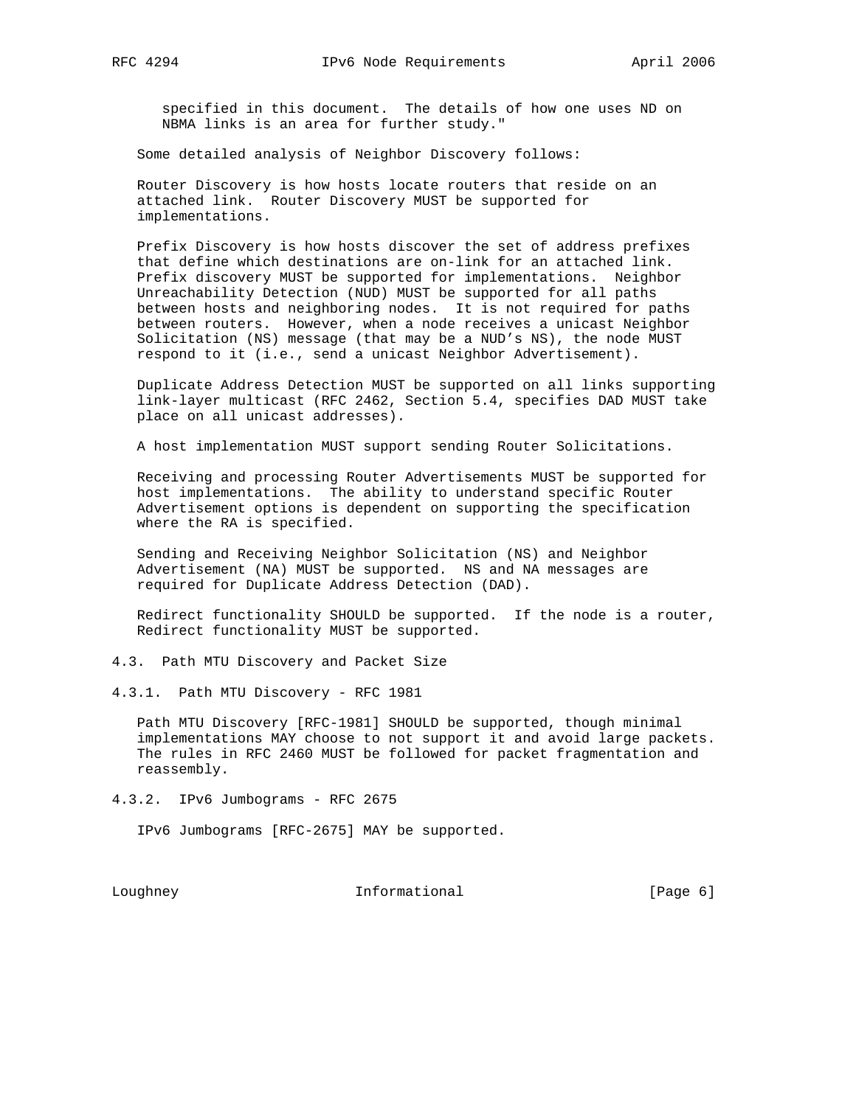specified in this document. The details of how one uses ND on NBMA links is an area for further study."

Some detailed analysis of Neighbor Discovery follows:

 Router Discovery is how hosts locate routers that reside on an attached link. Router Discovery MUST be supported for implementations.

 Prefix Discovery is how hosts discover the set of address prefixes that define which destinations are on-link for an attached link. Prefix discovery MUST be supported for implementations. Neighbor Unreachability Detection (NUD) MUST be supported for all paths between hosts and neighboring nodes. It is not required for paths between routers. However, when a node receives a unicast Neighbor Solicitation (NS) message (that may be a NUD's NS), the node MUST respond to it (i.e., send a unicast Neighbor Advertisement).

 Duplicate Address Detection MUST be supported on all links supporting link-layer multicast (RFC 2462, Section 5.4, specifies DAD MUST take place on all unicast addresses).

A host implementation MUST support sending Router Solicitations.

 Receiving and processing Router Advertisements MUST be supported for host implementations. The ability to understand specific Router Advertisement options is dependent on supporting the specification where the RA is specified.

 Sending and Receiving Neighbor Solicitation (NS) and Neighbor Advertisement (NA) MUST be supported. NS and NA messages are required for Duplicate Address Detection (DAD).

 Redirect functionality SHOULD be supported. If the node is a router, Redirect functionality MUST be supported.

- 4.3. Path MTU Discovery and Packet Size
- 4.3.1. Path MTU Discovery RFC 1981

 Path MTU Discovery [RFC-1981] SHOULD be supported, though minimal implementations MAY choose to not support it and avoid large packets. The rules in RFC 2460 MUST be followed for packet fragmentation and reassembly.

4.3.2. IPv6 Jumbograms - RFC 2675

IPv6 Jumbograms [RFC-2675] MAY be supported.

Loughney 1nformational [Page 6]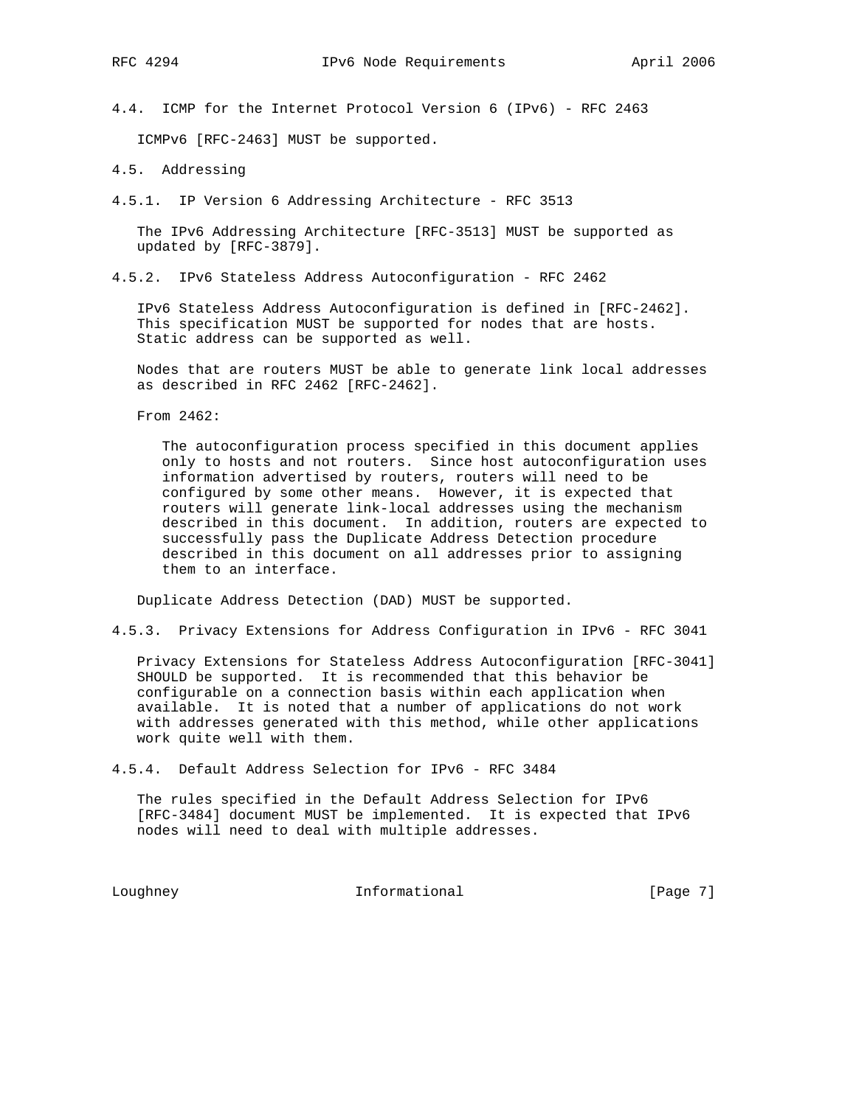4.4. ICMP for the Internet Protocol Version 6 (IPv6) - RFC 2463

ICMPv6 [RFC-2463] MUST be supported.

- 4.5. Addressing
- 4.5.1. IP Version 6 Addressing Architecture RFC 3513

 The IPv6 Addressing Architecture [RFC-3513] MUST be supported as updated by [RFC-3879].

4.5.2. IPv6 Stateless Address Autoconfiguration - RFC 2462

 IPv6 Stateless Address Autoconfiguration is defined in [RFC-2462]. This specification MUST be supported for nodes that are hosts. Static address can be supported as well.

 Nodes that are routers MUST be able to generate link local addresses as described in RFC 2462 [RFC-2462].

From 2462:

 The autoconfiguration process specified in this document applies only to hosts and not routers. Since host autoconfiguration uses information advertised by routers, routers will need to be configured by some other means. However, it is expected that routers will generate link-local addresses using the mechanism described in this document. In addition, routers are expected to successfully pass the Duplicate Address Detection procedure described in this document on all addresses prior to assigning them to an interface.

Duplicate Address Detection (DAD) MUST be supported.

4.5.3. Privacy Extensions for Address Configuration in IPv6 - RFC 3041

 Privacy Extensions for Stateless Address Autoconfiguration [RFC-3041] SHOULD be supported. It is recommended that this behavior be configurable on a connection basis within each application when available. It is noted that a number of applications do not work with addresses generated with this method, while other applications work quite well with them.

4.5.4. Default Address Selection for IPv6 - RFC 3484

 The rules specified in the Default Address Selection for IPv6 [RFC-3484] document MUST be implemented. It is expected that IPv6 nodes will need to deal with multiple addresses.

Loughney 1nformational [Page 7]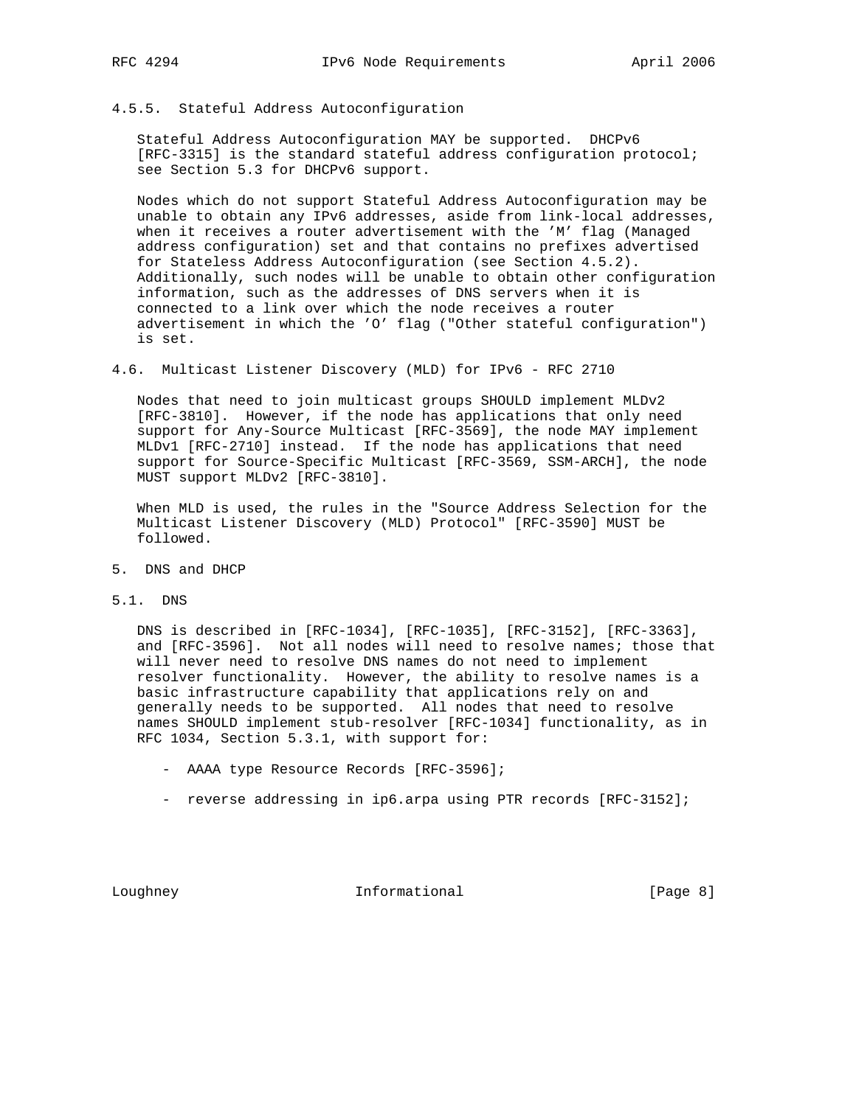# 4.5.5. Stateful Address Autoconfiguration

 Stateful Address Autoconfiguration MAY be supported. DHCPv6 [RFC-3315] is the standard stateful address configuration protocol; see Section 5.3 for DHCPv6 support.

 Nodes which do not support Stateful Address Autoconfiguration may be unable to obtain any IPv6 addresses, aside from link-local addresses, when it receives a router advertisement with the 'M' flag (Managed address configuration) set and that contains no prefixes advertised for Stateless Address Autoconfiguration (see Section 4.5.2). Additionally, such nodes will be unable to obtain other configuration information, such as the addresses of DNS servers when it is connected to a link over which the node receives a router advertisement in which the 'O' flag ("Other stateful configuration") is set.

4.6. Multicast Listener Discovery (MLD) for IPv6 - RFC 2710

 Nodes that need to join multicast groups SHOULD implement MLDv2 [RFC-3810]. However, if the node has applications that only need support for Any-Source Multicast [RFC-3569], the node MAY implement MLDv1 [RFC-2710] instead. If the node has applications that need support for Source-Specific Multicast [RFC-3569, SSM-ARCH], the node MUST support MLDv2 [RFC-3810].

 When MLD is used, the rules in the "Source Address Selection for the Multicast Listener Discovery (MLD) Protocol" [RFC-3590] MUST be followed.

- 5. DNS and DHCP
- 5.1. DNS

 DNS is described in [RFC-1034], [RFC-1035], [RFC-3152], [RFC-3363], and [RFC-3596]. Not all nodes will need to resolve names; those that will never need to resolve DNS names do not need to implement resolver functionality. However, the ability to resolve names is a basic infrastructure capability that applications rely on and generally needs to be supported. All nodes that need to resolve names SHOULD implement stub-resolver [RFC-1034] functionality, as in RFC 1034, Section 5.3.1, with support for:

- AAAA type Resource Records [RFC-3596];
- reverse addressing in ip6.arpa using PTR records [RFC-3152];

Loughney **Informational** [Page 8]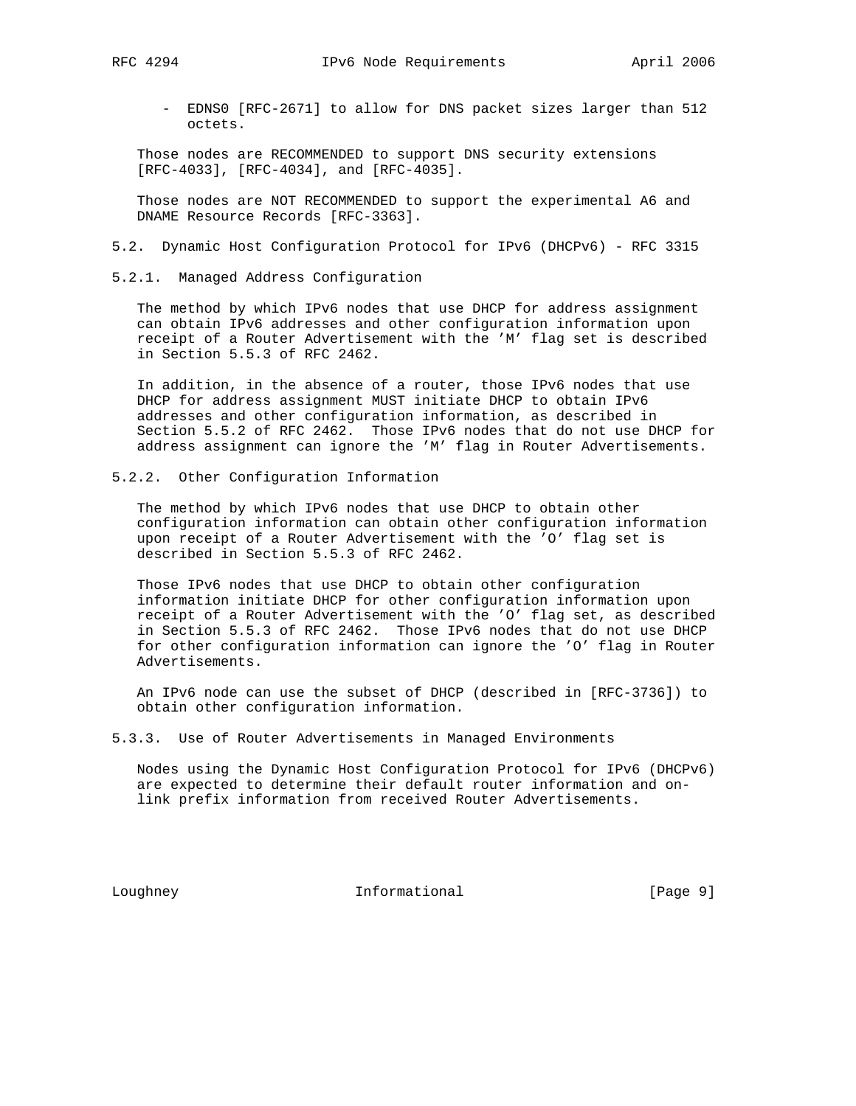- EDNS0 [RFC-2671] to allow for DNS packet sizes larger than 512 octets.

 Those nodes are RECOMMENDED to support DNS security extensions [RFC-4033], [RFC-4034], and [RFC-4035].

 Those nodes are NOT RECOMMENDED to support the experimental A6 and DNAME Resource Records [RFC-3363].

- 5.2. Dynamic Host Configuration Protocol for IPv6 (DHCPv6) RFC 3315
- 5.2.1. Managed Address Configuration

 The method by which IPv6 nodes that use DHCP for address assignment can obtain IPv6 addresses and other configuration information upon receipt of a Router Advertisement with the 'M' flag set is described in Section 5.5.3 of RFC 2462.

 In addition, in the absence of a router, those IPv6 nodes that use DHCP for address assignment MUST initiate DHCP to obtain IPv6 addresses and other configuration information, as described in Section 5.5.2 of RFC 2462. Those IPv6 nodes that do not use DHCP for address assignment can ignore the 'M' flag in Router Advertisements.

5.2.2. Other Configuration Information

 The method by which IPv6 nodes that use DHCP to obtain other configuration information can obtain other configuration information upon receipt of a Router Advertisement with the 'O' flag set is described in Section 5.5.3 of RFC 2462.

 Those IPv6 nodes that use DHCP to obtain other configuration information initiate DHCP for other configuration information upon receipt of a Router Advertisement with the 'O' flag set, as described in Section 5.5.3 of RFC 2462. Those IPv6 nodes that do not use DHCP for other configuration information can ignore the 'O' flag in Router Advertisements.

 An IPv6 node can use the subset of DHCP (described in [RFC-3736]) to obtain other configuration information.

5.3.3. Use of Router Advertisements in Managed Environments

 Nodes using the Dynamic Host Configuration Protocol for IPv6 (DHCPv6) are expected to determine their default router information and on link prefix information from received Router Advertisements.

Loughney **Informational** Informational [Page 9]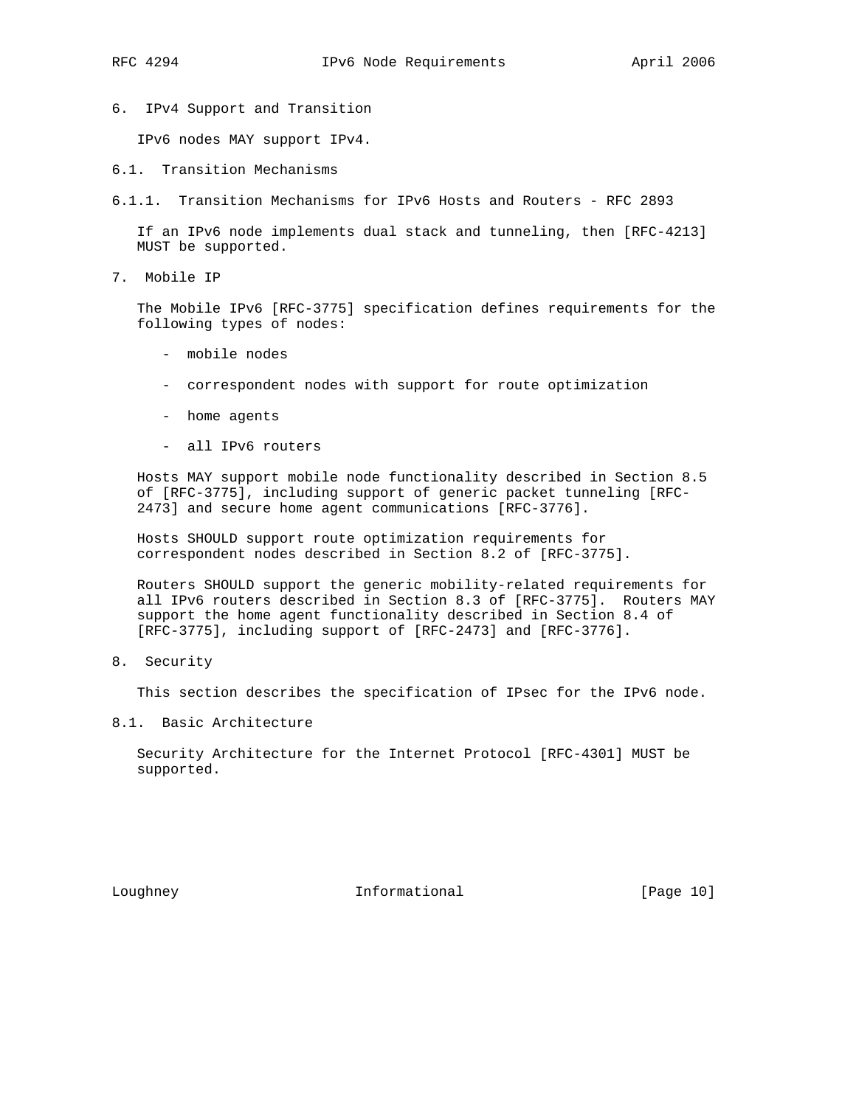6. IPv4 Support and Transition

IPv6 nodes MAY support IPv4.

- 6.1. Transition Mechanisms
- 6.1.1. Transition Mechanisms for IPv6 Hosts and Routers RFC 2893

 If an IPv6 node implements dual stack and tunneling, then [RFC-4213] MUST be supported.

7. Mobile IP

 The Mobile IPv6 [RFC-3775] specification defines requirements for the following types of nodes:

- mobile nodes
- correspondent nodes with support for route optimization
- home agents
- all IPv6 routers

 Hosts MAY support mobile node functionality described in Section 8.5 of [RFC-3775], including support of generic packet tunneling [RFC- 2473] and secure home agent communications [RFC-3776].

 Hosts SHOULD support route optimization requirements for correspondent nodes described in Section 8.2 of [RFC-3775].

 Routers SHOULD support the generic mobility-related requirements for all IPv6 routers described in Section 8.3 of [RFC-3775]. Routers MAY support the home agent functionality described in Section 8.4 of [RFC-3775], including support of [RFC-2473] and [RFC-3776].

8. Security

This section describes the specification of IPsec for the IPv6 node.

8.1. Basic Architecture

 Security Architecture for the Internet Protocol [RFC-4301] MUST be supported.

Loughney 10 Informational [Page 10]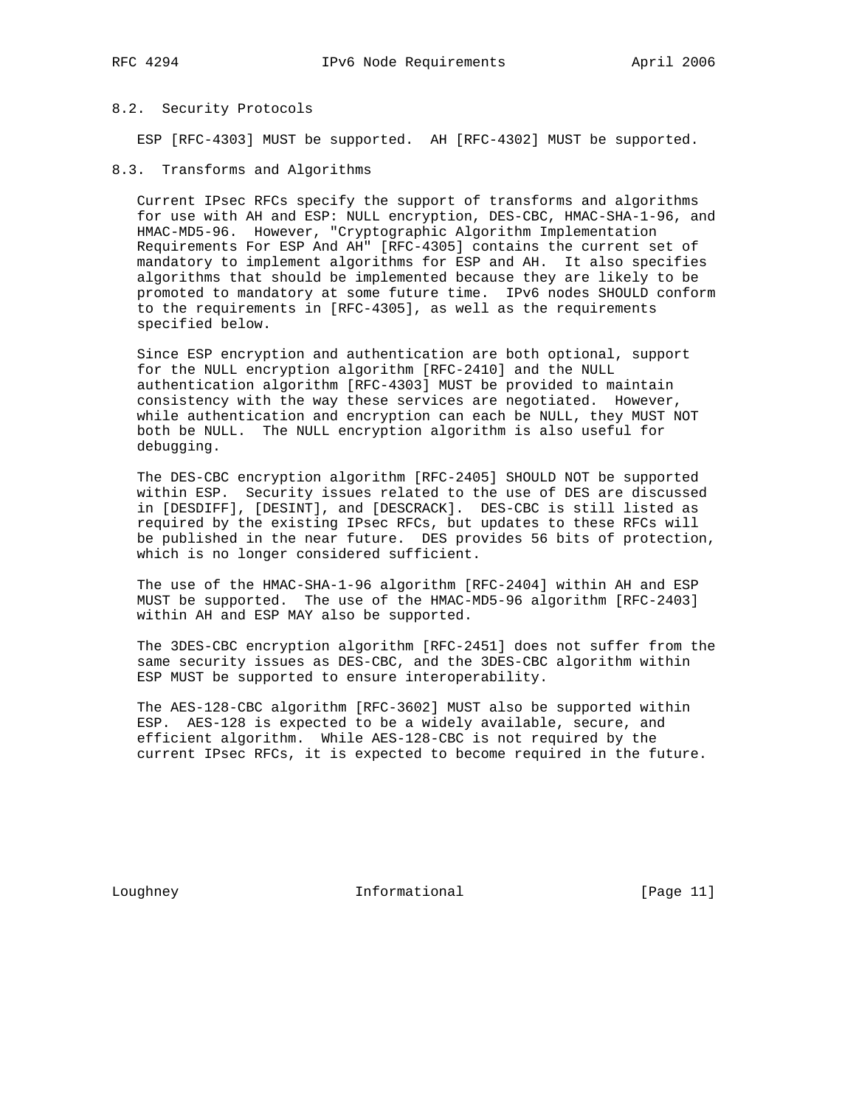### 8.2. Security Protocols

ESP [RFC-4303] MUST be supported. AH [RFC-4302] MUST be supported.

8.3. Transforms and Algorithms

 Current IPsec RFCs specify the support of transforms and algorithms for use with AH and ESP: NULL encryption, DES-CBC, HMAC-SHA-1-96, and HMAC-MD5-96. However, "Cryptographic Algorithm Implementation Requirements For ESP And AH" [RFC-4305] contains the current set of mandatory to implement algorithms for ESP and AH. It also specifies algorithms that should be implemented because they are likely to be promoted to mandatory at some future time. IPv6 nodes SHOULD conform to the requirements in [RFC-4305], as well as the requirements specified below.

 Since ESP encryption and authentication are both optional, support for the NULL encryption algorithm [RFC-2410] and the NULL authentication algorithm [RFC-4303] MUST be provided to maintain consistency with the way these services are negotiated. However, while authentication and encryption can each be NULL, they MUST NOT both be NULL. The NULL encryption algorithm is also useful for debugging.

 The DES-CBC encryption algorithm [RFC-2405] SHOULD NOT be supported within ESP. Security issues related to the use of DES are discussed in [DESDIFF], [DESINT], and [DESCRACK]. DES-CBC is still listed as required by the existing IPsec RFCs, but updates to these RFCs will be published in the near future. DES provides 56 bits of protection, which is no longer considered sufficient.

 The use of the HMAC-SHA-1-96 algorithm [RFC-2404] within AH and ESP MUST be supported. The use of the HMAC-MD5-96 algorithm [RFC-2403] within AH and ESP MAY also be supported.

 The 3DES-CBC encryption algorithm [RFC-2451] does not suffer from the same security issues as DES-CBC, and the 3DES-CBC algorithm within ESP MUST be supported to ensure interoperability.

 The AES-128-CBC algorithm [RFC-3602] MUST also be supported within ESP. AES-128 is expected to be a widely available, secure, and efficient algorithm. While AES-128-CBC is not required by the current IPsec RFCs, it is expected to become required in the future.

Loughney 11 Informational [Page 11]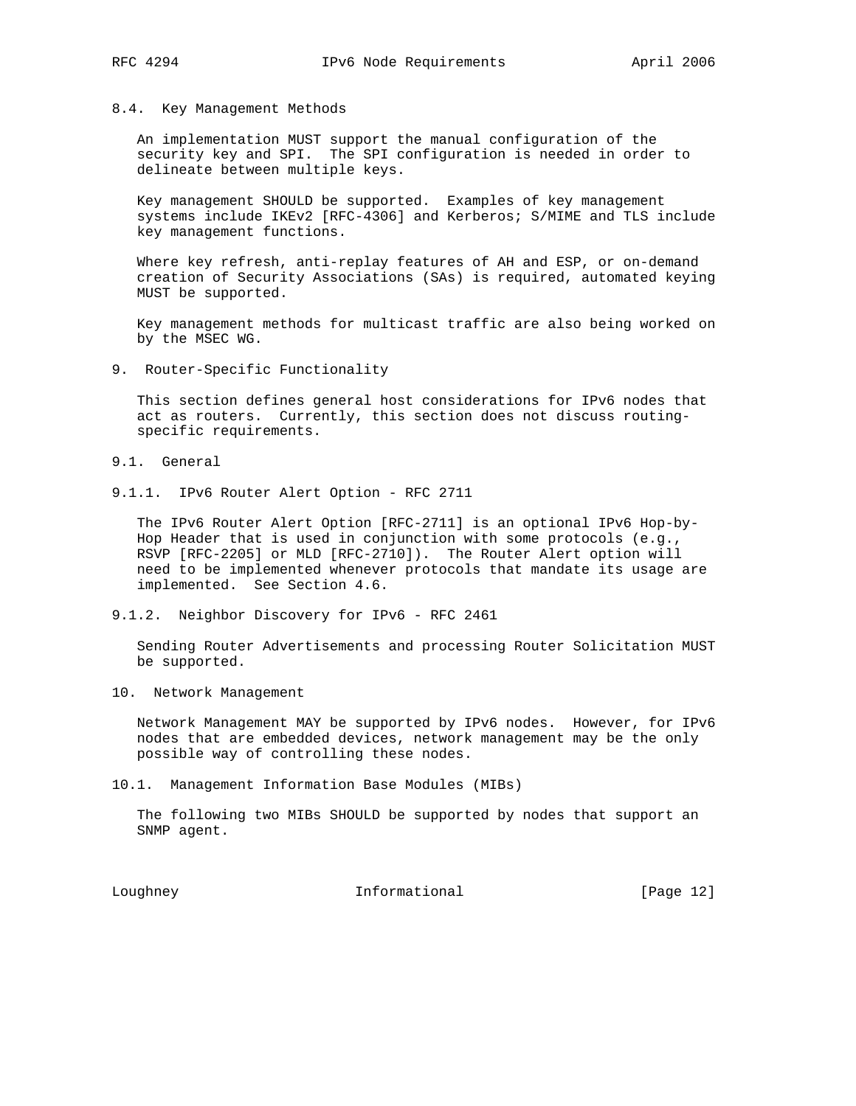### 8.4. Key Management Methods

 An implementation MUST support the manual configuration of the security key and SPI. The SPI configuration is needed in order to delineate between multiple keys.

 Key management SHOULD be supported. Examples of key management systems include IKEv2 [RFC-4306] and Kerberos; S/MIME and TLS include key management functions.

 Where key refresh, anti-replay features of AH and ESP, or on-demand creation of Security Associations (SAs) is required, automated keying MUST be supported.

 Key management methods for multicast traffic are also being worked on by the MSEC WG.

9. Router-Specific Functionality

 This section defines general host considerations for IPv6 nodes that act as routers. Currently, this section does not discuss routing specific requirements.

- 9.1. General
- 9.1.1. IPv6 Router Alert Option RFC 2711

 The IPv6 Router Alert Option [RFC-2711] is an optional IPv6 Hop-by- Hop Header that is used in conjunction with some protocols (e.g., RSVP [RFC-2205] or MLD [RFC-2710]). The Router Alert option will need to be implemented whenever protocols that mandate its usage are implemented. See Section 4.6.

9.1.2. Neighbor Discovery for IPv6 - RFC 2461

 Sending Router Advertisements and processing Router Solicitation MUST be supported.

10. Network Management

 Network Management MAY be supported by IPv6 nodes. However, for IPv6 nodes that are embedded devices, network management may be the only possible way of controlling these nodes.

10.1. Management Information Base Modules (MIBs)

 The following two MIBs SHOULD be supported by nodes that support an SNMP agent.

Loughney 10 Informational [Page 12]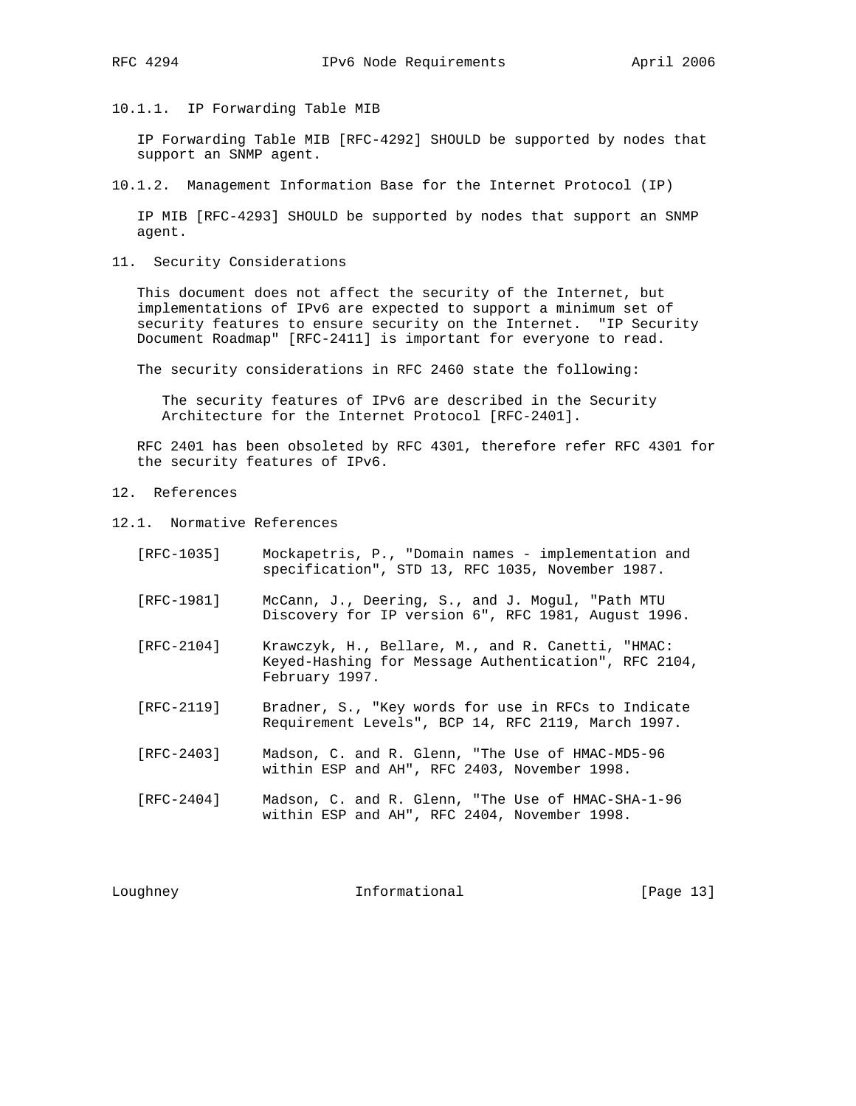10.1.1. IP Forwarding Table MIB

 IP Forwarding Table MIB [RFC-4292] SHOULD be supported by nodes that support an SNMP agent.

10.1.2. Management Information Base for the Internet Protocol (IP)

 IP MIB [RFC-4293] SHOULD be supported by nodes that support an SNMP agent.

11. Security Considerations

 This document does not affect the security of the Internet, but implementations of IPv6 are expected to support a minimum set of security features to ensure security on the Internet. "IP Security Document Roadmap" [RFC-2411] is important for everyone to read.

The security considerations in RFC 2460 state the following:

 The security features of IPv6 are described in the Security Architecture for the Internet Protocol [RFC-2401].

 RFC 2401 has been obsoleted by RFC 4301, therefore refer RFC 4301 for the security features of IPv6.

- 12. References
- 12.1. Normative References

| [RFC-1035] | Mockapetris, P., "Domain names - implementation and<br>specification", STD 13, RFC 1035, November 1987.                     |
|------------|-----------------------------------------------------------------------------------------------------------------------------|
| [RFC-1981] | McCann, J., Deering, S., and J. Mogul, "Path MTU<br>Discovery for IP version 6", RFC 1981, August 1996.                     |
| [RFC-2104] | Krawczyk, H., Bellare, M., and R. Canetti, "HMAC:<br>Keyed-Hashing for Message Authentication", RFC 2104,<br>February 1997. |
| [RFC-2119] | Bradner, S., "Key words for use in RFCs to Indicate<br>Requirement Levels", BCP 14, RFC 2119, March 1997.                   |
| [RFC-2403] | Madson, C. and R. Glenn, "The Use of HMAC-MD5-96<br>within ESP and AH", RFC 2403, November 1998.                            |
| [RFC-2404] | Madson, C. and R. Glenn, "The Use of HMAC-SHA-1-96<br>within ESP and AH", RFC 2404, November 1998.                          |

Loughney **Informational** [Page 13]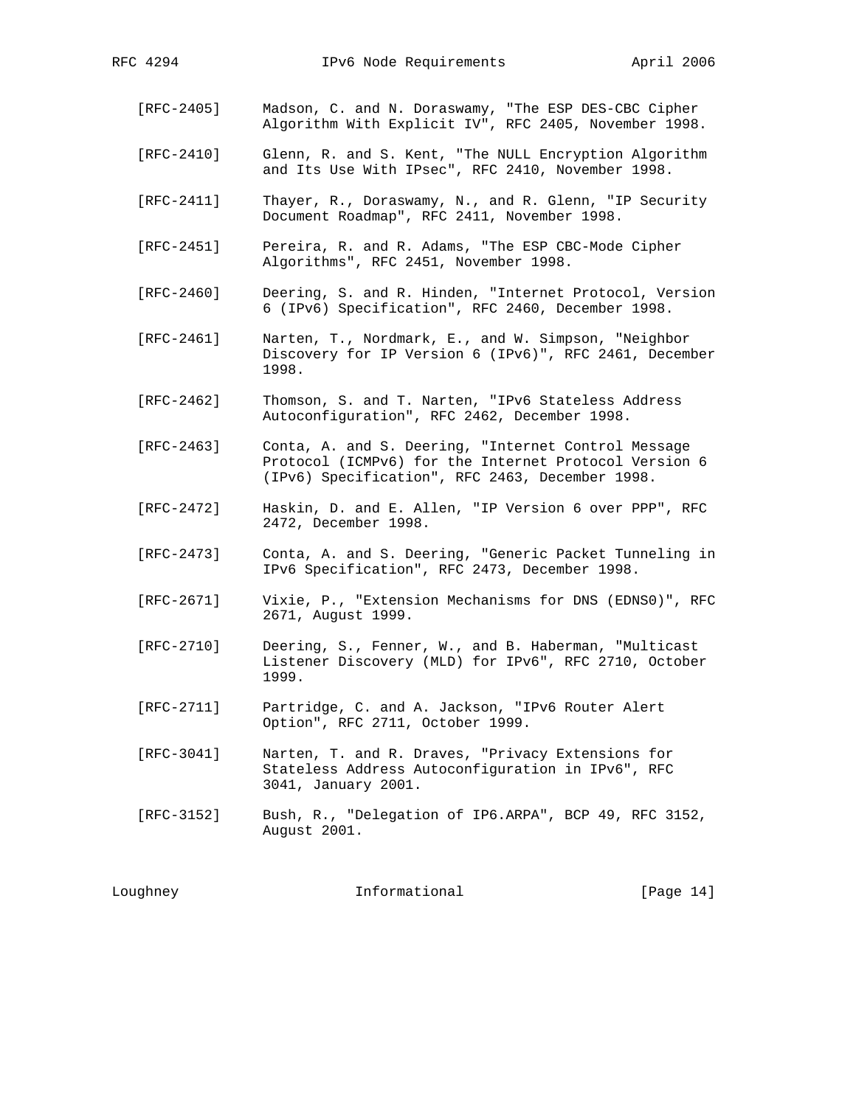- [RFC-2405] Madson, C. and N. Doraswamy, "The ESP DES-CBC Cipher Algorithm With Explicit IV", RFC 2405, November 1998.
- [RFC-2410] Glenn, R. and S. Kent, "The NULL Encryption Algorithm and Its Use With IPsec", RFC 2410, November 1998.
- [RFC-2411] Thayer, R., Doraswamy, N., and R. Glenn, "IP Security Document Roadmap", RFC 2411, November 1998.
- [RFC-2451] Pereira, R. and R. Adams, "The ESP CBC-Mode Cipher Algorithms", RFC 2451, November 1998.
- [RFC-2460] Deering, S. and R. Hinden, "Internet Protocol, Version 6 (IPv6) Specification", RFC 2460, December 1998.
- [RFC-2461] Narten, T., Nordmark, E., and W. Simpson, "Neighbor Discovery for IP Version 6 (IPv6)", RFC 2461, December 1998.
- [RFC-2462] Thomson, S. and T. Narten, "IPv6 Stateless Address Autoconfiguration", RFC 2462, December 1998.
- [RFC-2463] Conta, A. and S. Deering, "Internet Control Message Protocol (ICMPv6) for the Internet Protocol Version 6 (IPv6) Specification", RFC 2463, December 1998.
- [RFC-2472] Haskin, D. and E. Allen, "IP Version 6 over PPP", RFC 2472, December 1998.
- [RFC-2473] Conta, A. and S. Deering, "Generic Packet Tunneling in IPv6 Specification", RFC 2473, December 1998.
- [RFC-2671] Vixie, P., "Extension Mechanisms for DNS (EDNS0)", RFC 2671, August 1999.
- [RFC-2710] Deering, S., Fenner, W., and B. Haberman, "Multicast Listener Discovery (MLD) for IPv6", RFC 2710, October 1999.
- [RFC-2711] Partridge, C. and A. Jackson, "IPv6 Router Alert Option", RFC 2711, October 1999.
- [RFC-3041] Narten, T. and R. Draves, "Privacy Extensions for Stateless Address Autoconfiguration in IPv6", RFC 3041, January 2001.
- [RFC-3152] Bush, R., "Delegation of IP6.ARPA", BCP 49, RFC 3152, August 2001.

Loughney **Informational** [Page 14]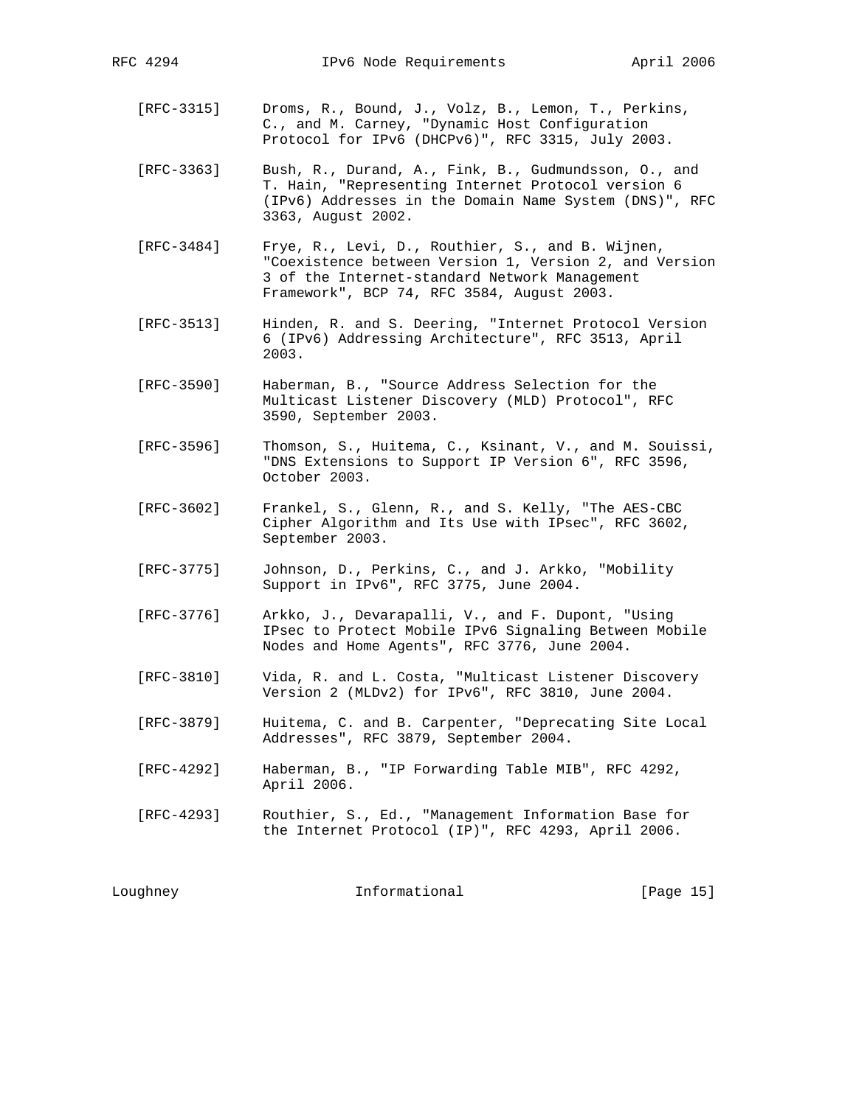[RFC-3315] Droms, R., Bound, J., Volz, B., Lemon, T., Perkins, C., and M. Carney, "Dynamic Host Configuration Protocol for IPv6 (DHCPv6)", RFC 3315, July 2003.

 [RFC-3363] Bush, R., Durand, A., Fink, B., Gudmundsson, O., and T. Hain, "Representing Internet Protocol version 6 (IPv6) Addresses in the Domain Name System (DNS)", RFC 3363, August 2002.

- [RFC-3484] Frye, R., Levi, D., Routhier, S., and B. Wijnen, "Coexistence between Version 1, Version 2, and Version 3 of the Internet-standard Network Management Framework", BCP 74, RFC 3584, August 2003.
- [RFC-3513] Hinden, R. and S. Deering, "Internet Protocol Version 6 (IPv6) Addressing Architecture", RFC 3513, April 2003.
- [RFC-3590] Haberman, B., "Source Address Selection for the Multicast Listener Discovery (MLD) Protocol", RFC 3590, September 2003.
- [RFC-3596] Thomson, S., Huitema, C., Ksinant, V., and M. Souissi, "DNS Extensions to Support IP Version 6", RFC 3596, October 2003.
- [RFC-3602] Frankel, S., Glenn, R., and S. Kelly, "The AES-CBC Cipher Algorithm and Its Use with IPsec", RFC 3602, September 2003.
- [RFC-3775] Johnson, D., Perkins, C., and J. Arkko, "Mobility Support in IPv6", RFC 3775, June 2004.
- [RFC-3776] Arkko, J., Devarapalli, V., and F. Dupont, "Using IPsec to Protect Mobile IPv6 Signaling Between Mobile Nodes and Home Agents", RFC 3776, June 2004.
- [RFC-3810] Vida, R. and L. Costa, "Multicast Listener Discovery Version 2 (MLDv2) for IPv6", RFC 3810, June 2004.
- [RFC-3879] Huitema, C. and B. Carpenter, "Deprecating Site Local Addresses", RFC 3879, September 2004.
- [RFC-4292] Haberman, B., "IP Forwarding Table MIB", RFC 4292, April 2006.
- [RFC-4293] Routhier, S., Ed., "Management Information Base for the Internet Protocol (IP)", RFC 4293, April 2006.

Loughney **Informational** [Page 15]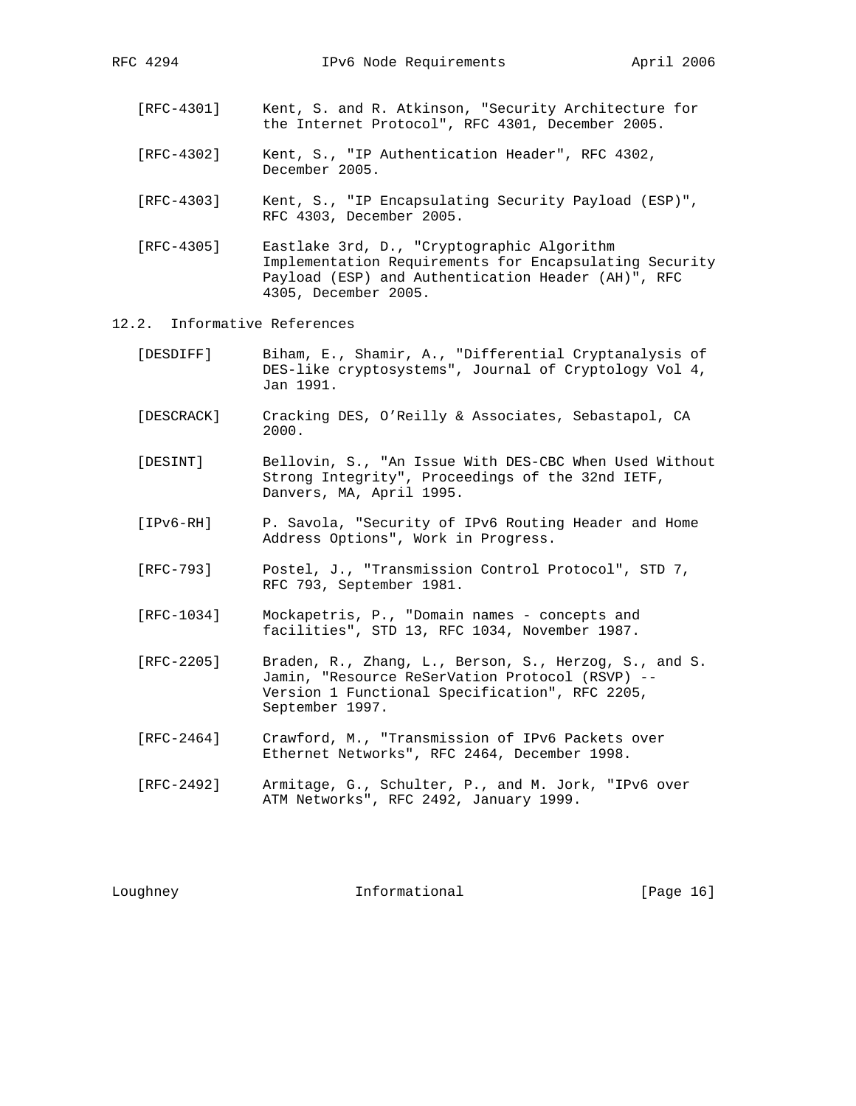- [RFC-4301] Kent, S. and R. Atkinson, "Security Architecture for the Internet Protocol", RFC 4301, December 2005.
- [RFC-4302] Kent, S., "IP Authentication Header", RFC 4302, December 2005.
- [RFC-4303] Kent, S., "IP Encapsulating Security Payload (ESP)", RFC 4303, December 2005.
- [RFC-4305] Eastlake 3rd, D., "Cryptographic Algorithm Implementation Requirements for Encapsulating Security Payload (ESP) and Authentication Header (AH)", RFC 4305, December 2005.
- 12.2. Informative References
	- [DESDIFF] Biham, E., Shamir, A., "Differential Cryptanalysis of DES-like cryptosystems", Journal of Cryptology Vol 4, Jan 1991.
	- [DESCRACK] Cracking DES, O'Reilly & Associates, Sebastapol, CA 2000.
	- [DESINT] Bellovin, S., "An Issue With DES-CBC When Used Without Strong Integrity", Proceedings of the 32nd IETF, Danvers, MA, April 1995.
	- [IPv6-RH] P. Savola, "Security of IPv6 Routing Header and Home Address Options", Work in Progress.
	- [RFC-793] Postel, J., "Transmission Control Protocol", STD 7, RFC 793, September 1981.
	- [RFC-1034] Mockapetris, P., "Domain names concepts and facilities", STD 13, RFC 1034, November 1987.
	- [RFC-2205] Braden, R., Zhang, L., Berson, S., Herzog, S., and S. Jamin, "Resource ReSerVation Protocol (RSVP) -- Version 1 Functional Specification", RFC 2205, September 1997.
	- [RFC-2464] Crawford, M., "Transmission of IPv6 Packets over Ethernet Networks", RFC 2464, December 1998.
	- [RFC-2492] Armitage, G., Schulter, P., and M. Jork, "IPv6 over ATM Networks", RFC 2492, January 1999.

Loughney **Informational** [Page 16]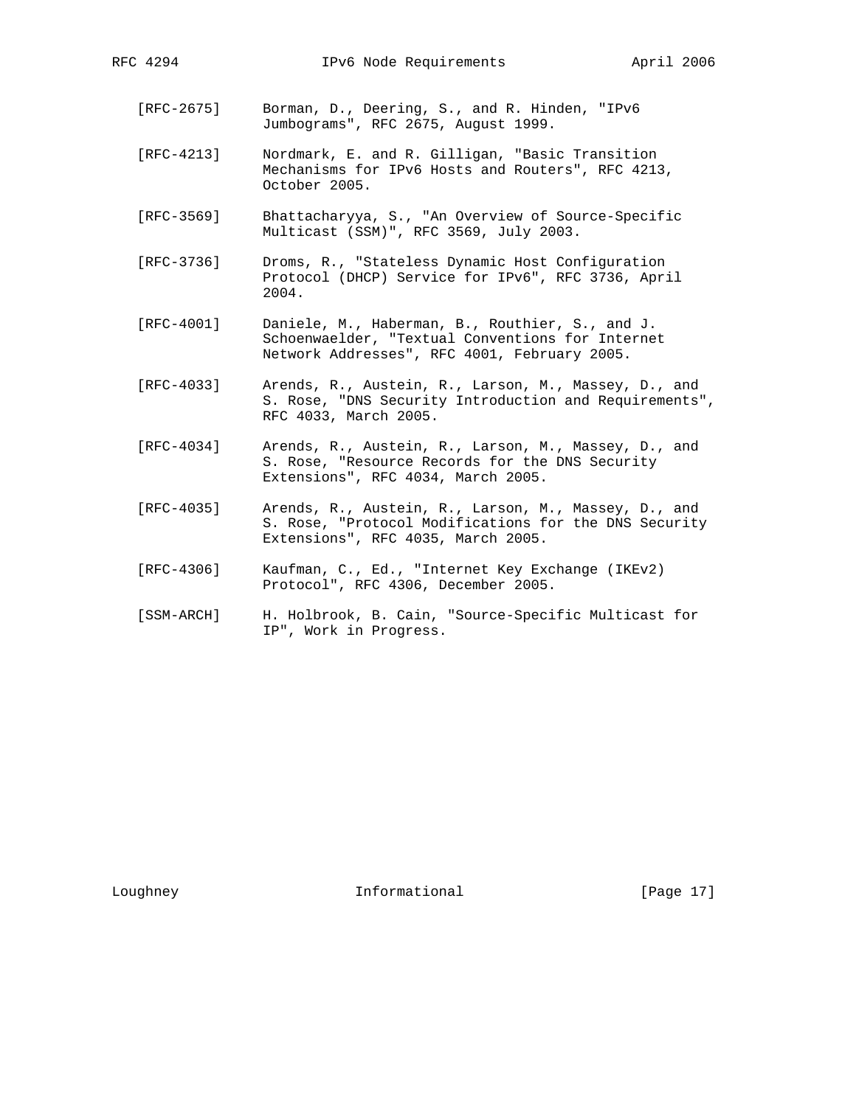- [RFC-2675] Borman, D., Deering, S., and R. Hinden, "IPv6 Jumbograms", RFC 2675, August 1999.
- [RFC-4213] Nordmark, E. and R. Gilligan, "Basic Transition Mechanisms for IPv6 Hosts and Routers", RFC 4213, October 2005.
- [RFC-3569] Bhattacharyya, S., "An Overview of Source-Specific Multicast (SSM)", RFC 3569, July 2003.
- [RFC-3736] Droms, R., "Stateless Dynamic Host Configuration Protocol (DHCP) Service for IPv6", RFC 3736, April 2004.
- [RFC-4001] Daniele, M., Haberman, B., Routhier, S., and J. Schoenwaelder, "Textual Conventions for Internet Network Addresses", RFC 4001, February 2005.
- [RFC-4033] Arends, R., Austein, R., Larson, M., Massey, D., and S. Rose, "DNS Security Introduction and Requirements", RFC 4033, March 2005.
- [RFC-4034] Arends, R., Austein, R., Larson, M., Massey, D., and S. Rose, "Resource Records for the DNS Security Extensions", RFC 4034, March 2005.
- [RFC-4035] Arends, R., Austein, R., Larson, M., Massey, D., and S. Rose, "Protocol Modifications for the DNS Security Extensions", RFC 4035, March 2005.
- [RFC-4306] Kaufman, C., Ed., "Internet Key Exchange (IKEv2) Protocol", RFC 4306, December 2005.
- [SSM-ARCH] H. Holbrook, B. Cain, "Source-Specific Multicast for IP", Work in Progress.

Loughney 10 Informational [Page 17]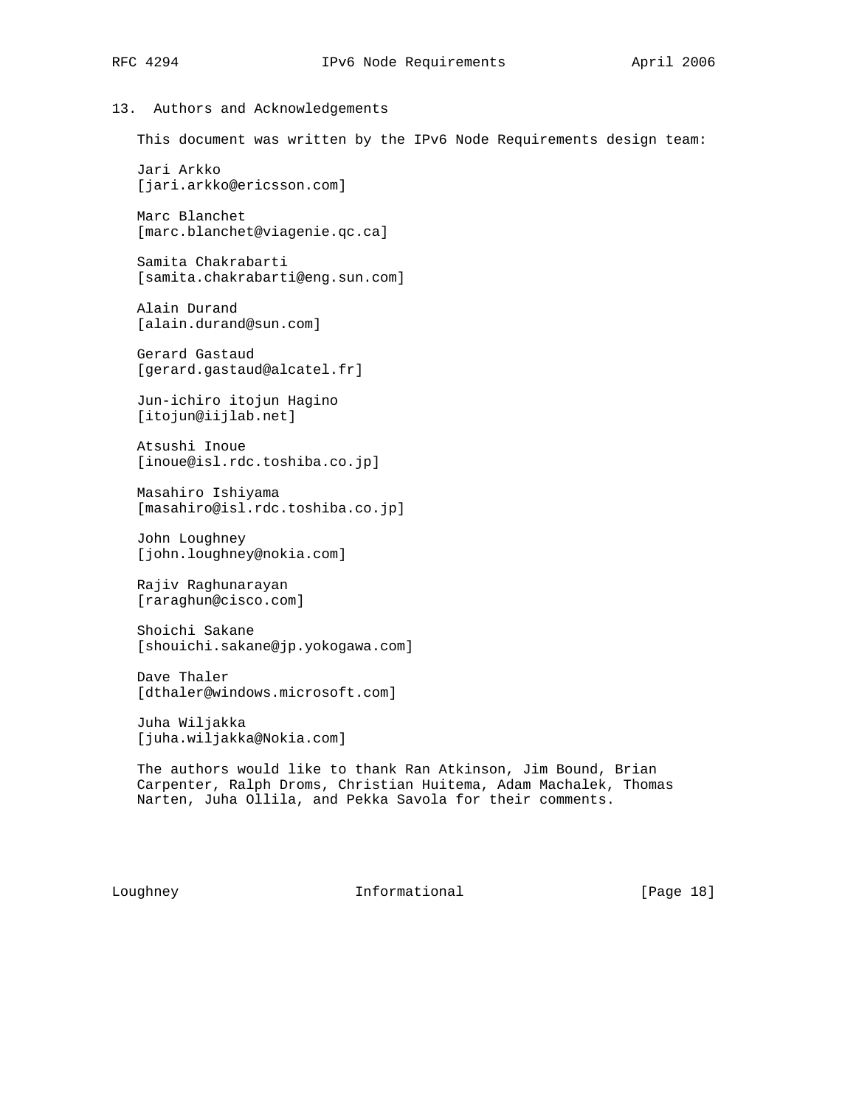# 13. Authors and Acknowledgements

This document was written by the IPv6 Node Requirements design team:

 Jari Arkko [jari.arkko@ericsson.com]

 Marc Blanchet [marc.blanchet@viagenie.qc.ca]

 Samita Chakrabarti [samita.chakrabarti@eng.sun.com]

 Alain Durand [alain.durand@sun.com]

 Gerard Gastaud [gerard.gastaud@alcatel.fr]

 Jun-ichiro itojun Hagino [itojun@iijlab.net]

 Atsushi Inoue [inoue@isl.rdc.toshiba.co.jp]

 Masahiro Ishiyama [masahiro@isl.rdc.toshiba.co.jp]

 John Loughney [john.loughney@nokia.com]

 Rajiv Raghunarayan [raraghun@cisco.com]

 Shoichi Sakane [shouichi.sakane@jp.yokogawa.com]

 Dave Thaler [dthaler@windows.microsoft.com]

 Juha Wiljakka [juha.wiljakka@Nokia.com]

 The authors would like to thank Ran Atkinson, Jim Bound, Brian Carpenter, Ralph Droms, Christian Huitema, Adam Machalek, Thomas Narten, Juha Ollila, and Pekka Savola for their comments.

Loughney **Informational** [Page 18]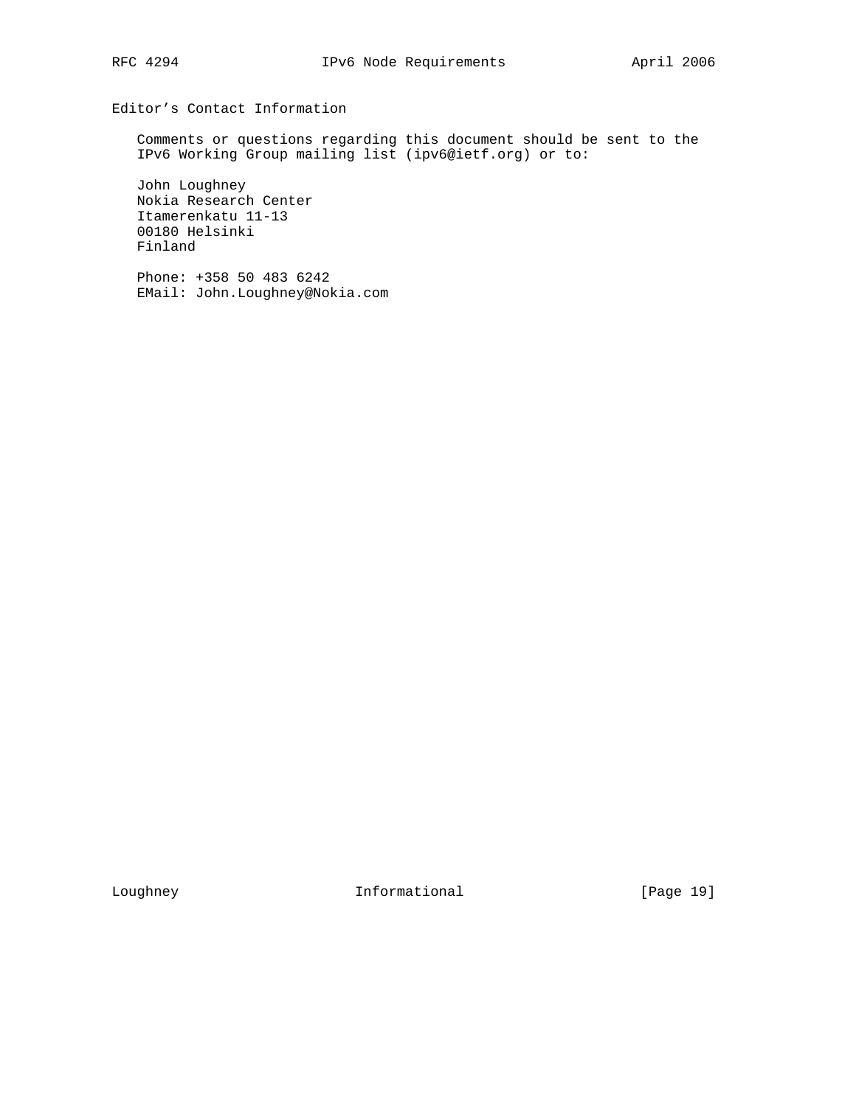# Editor's Contact Information

 Comments or questions regarding this document should be sent to the IPv6 Working Group mailing list (ipv6@ietf.org) or to:

 John Loughney Nokia Research Center Itamerenkatu 11-13 00180 Helsinki Finland

 Phone: +358 50 483 6242 EMail: John.Loughney@Nokia.com

Loughney 101 Informational [Page 19]